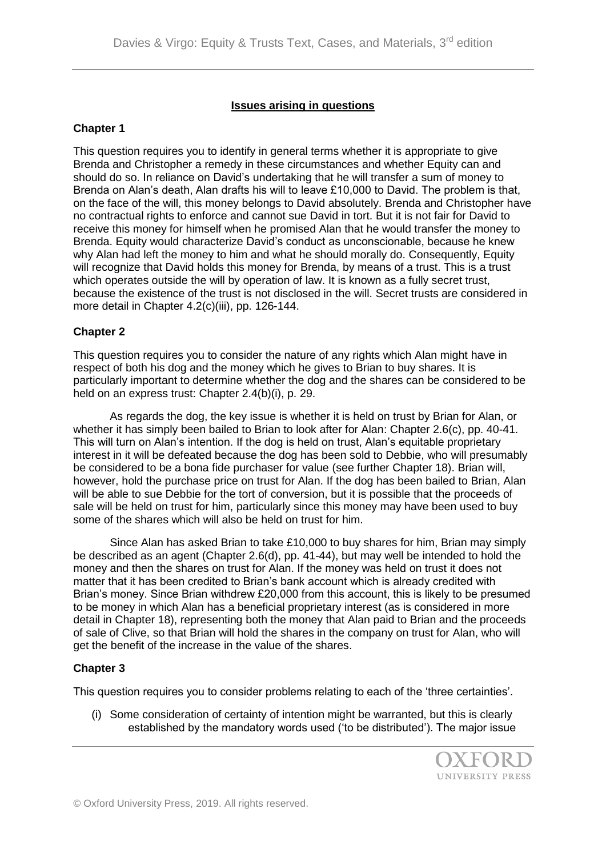## **Issues arising in questions**

### **Chapter 1**

This question requires you to identify in general terms whether it is appropriate to give Brenda and Christopher a remedy in these circumstances and whether Equity can and should do so. In reliance on David's undertaking that he will transfer a sum of money to Brenda on Alan's death, Alan drafts his will to leave £10,000 to David. The problem is that, on the face of the will, this money belongs to David absolutely. Brenda and Christopher have no contractual rights to enforce and cannot sue David in tort. But it is not fair for David to receive this money for himself when he promised Alan that he would transfer the money to Brenda. Equity would characterize David's conduct as unconscionable, because he knew why Alan had left the money to him and what he should morally do. Consequently, Equity will recognize that David holds this money for Brenda, by means of a trust. This is a trust which operates outside the will by operation of law. It is known as a fully secret trust, because the existence of the trust is not disclosed in the will. Secret trusts are considered in more detail in Chapter 4.2(c)(iii), pp. 126-144.

## **Chapter 2**

This question requires you to consider the nature of any rights which Alan might have in respect of both his dog and the money which he gives to Brian to buy shares. It is particularly important to determine whether the dog and the shares can be considered to be held on an express trust: Chapter 2.4(b)(i), p. 29.

As regards the dog, the key issue is whether it is held on trust by Brian for Alan, or whether it has simply been bailed to Brian to look after for Alan: Chapter 2.6(c), pp. 40-41. This will turn on Alan's intention. If the dog is held on trust, Alan's equitable proprietary interest in it will be defeated because the dog has been sold to Debbie, who will presumably be considered to be a bona fide purchaser for value (see further Chapter 18). Brian will, however, hold the purchase price on trust for Alan. If the dog has been bailed to Brian, Alan will be able to sue Debbie for the tort of conversion, but it is possible that the proceeds of sale will be held on trust for him, particularly since this money may have been used to buy some of the shares which will also be held on trust for him.

Since Alan has asked Brian to take £10,000 to buy shares for him, Brian may simply be described as an agent (Chapter 2.6(d), pp. 41-44), but may well be intended to hold the money and then the shares on trust for Alan. If the money was held on trust it does not matter that it has been credited to Brian's bank account which is already credited with Brian's money. Since Brian withdrew £20,000 from this account, this is likely to be presumed to be money in which Alan has a beneficial proprietary interest (as is considered in more detail in Chapter 18), representing both the money that Alan paid to Brian and the proceeds of sale of Clive, so that Brian will hold the shares in the company on trust for Alan, who will get the benefit of the increase in the value of the shares.

# **Chapter 3**

This question requires you to consider problems relating to each of the 'three certainties'.

(i) Some consideration of certainty of intention might be warranted, but this is clearly established by the mandatory words used ('to be distributed'). The major issue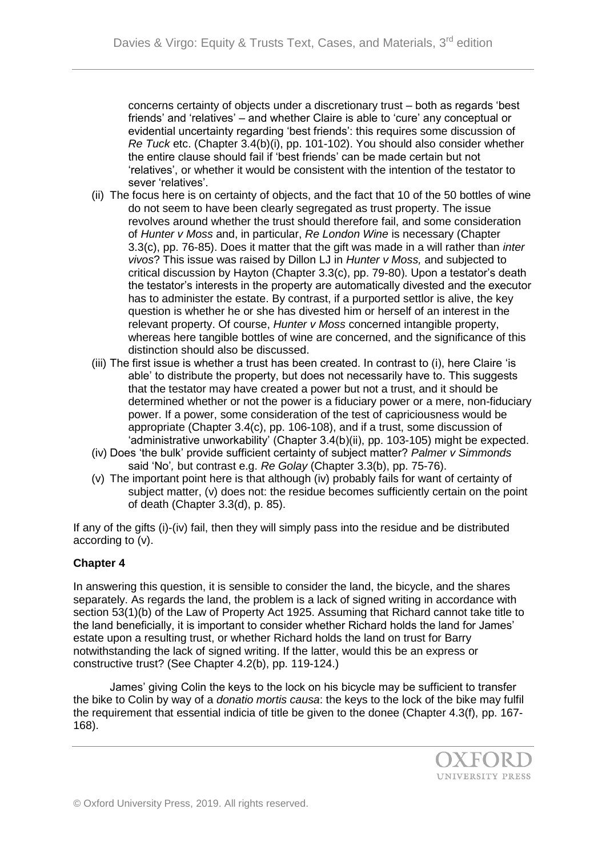concerns certainty of objects under a discretionary trust – both as regards 'best friends' and 'relatives' – and whether Claire is able to 'cure' any conceptual or evidential uncertainty regarding 'best friends': this requires some discussion of *Re Tuck* etc. (Chapter 3.4(b)(i), pp. 101-102). You should also consider whether the entire clause should fail if 'best friends' can be made certain but not 'relatives', or whether it would be consistent with the intention of the testator to sever 'relatives'.

- (ii) The focus here is on certainty of objects, and the fact that 10 of the 50 bottles of wine do not seem to have been clearly segregated as trust property. The issue revolves around whether the trust should therefore fail, and some consideration of *Hunter v Moss* and, in particular, *Re London Wine* is necessary (Chapter 3.3(c), pp. 76-85). Does it matter that the gift was made in a will rather than *inter vivos*? This issue was raised by Dillon LJ in *Hunter v Moss,* and subjected to critical discussion by Hayton (Chapter 3.3(c), pp. 79-80). Upon a testator's death the testator's interests in the property are automatically divested and the executor has to administer the estate. By contrast, if a purported settlor is alive, the key question is whether he or she has divested him or herself of an interest in the relevant property. Of course, *Hunter v Moss* concerned intangible property, whereas here tangible bottles of wine are concerned, and the significance of this distinction should also be discussed.
- (iii) The first issue is whether a trust has been created. In contrast to (i), here Claire 'is able' to distribute the property, but does not necessarily have to. This suggests that the testator may have created a power but not a trust, and it should be determined whether or not the power is a fiduciary power or a mere, non-fiduciary power. If a power, some consideration of the test of capriciousness would be appropriate (Chapter 3.4(c), pp. 106-108), and if a trust, some discussion of 'administrative unworkability' (Chapter 3.4(b)(ii), pp. 103-105) might be expected.
- (iv) Does 'the bulk' provide sufficient certainty of subject matter? *Palmer v Simmonds*  said 'No'*,* but contrast e.g. *Re Golay* (Chapter 3.3(b), pp. 75-76).
- (v) The important point here is that although (iv) probably fails for want of certainty of subject matter, (v) does not: the residue becomes sufficiently certain on the point of death (Chapter 3.3(d), p. 85).

If any of the gifts (i)-(iv) fail, then they will simply pass into the residue and be distributed according to (v).

#### **Chapter 4**

In answering this question, it is sensible to consider the land, the bicycle, and the shares separately. As regards the land, the problem is a lack of signed writing in accordance with section 53(1)(b) of the Law of Property Act 1925. Assuming that Richard cannot take title to the land beneficially, it is important to consider whether Richard holds the land for James' estate upon a resulting trust, or whether Richard holds the land on trust for Barry notwithstanding the lack of signed writing. If the latter, would this be an express or constructive trust? (See Chapter 4.2(b), pp. 119-124.)

James' giving Colin the keys to the lock on his bicycle may be sufficient to transfer the bike to Colin by way of a *donatio mortis causa*: the keys to the lock of the bike may fulfil the requirement that essential indicia of title be given to the donee (Chapter 4.3(f), pp. 167- 168).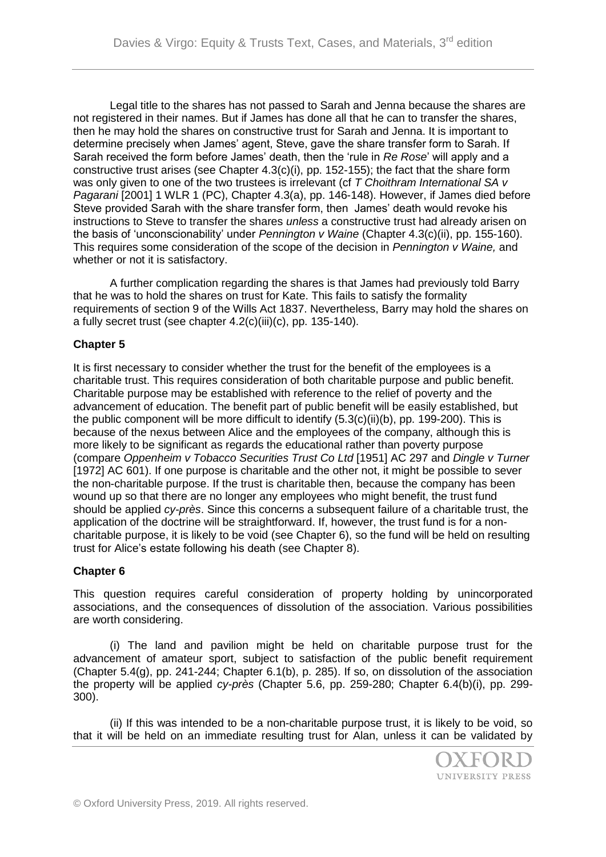Legal title to the shares has not passed to Sarah and Jenna because the shares are not registered in their names. But if James has done all that he can to transfer the shares, then he may hold the shares on constructive trust for Sarah and Jenna. It is important to determine precisely when James' agent, Steve, gave the share transfer form to Sarah. If Sarah received the form before James' death, then the 'rule in *Re Rose*' will apply and a constructive trust arises (see Chapter  $4.3(c)(i)$ , pp. 152-155); the fact that the share form was only given to one of the two trustees is irrelevant (cf *T Choithram International SA v Pagarani* [2001] 1 WLR 1 (PC), Chapter 4.3(a), pp. 146-148). However, if James died before Steve provided Sarah with the share transfer form, then James' death would revoke his instructions to Steve to transfer the shares *unless* a constructive trust had already arisen on the basis of 'unconscionability' under *Pennington v Waine* (Chapter 4.3(c)(ii), pp. 155-160). This requires some consideration of the scope of the decision in *Pennington v Waine,* and whether or not it is satisfactory.

A further complication regarding the shares is that James had previously told Barry that he was to hold the shares on trust for Kate. This fails to satisfy the formality requirements of section 9 of the Wills Act 1837. Nevertheless, Barry may hold the shares on a fully secret trust (see chapter 4.2(c)(iii)(c), pp. 135-140).

## **Chapter 5**

It is first necessary to consider whether the trust for the benefit of the employees is a charitable trust. This requires consideration of both charitable purpose and public benefit. Charitable purpose may be established with reference to the relief of poverty and the advancement of education. The benefit part of public benefit will be easily established, but the public component will be more difficult to identify (5.3(c)(ii)(b), pp. 199-200). This is because of the nexus between Alice and the employees of the company, although this is more likely to be significant as regards the educational rather than poverty purpose (compare *Oppenheim v Tobacco Securities Trust Co Ltd* [1951] AC 297 and *Dingle v Turner*  [1972] AC 601). If one purpose is charitable and the other not, it might be possible to sever the non-charitable purpose. If the trust is charitable then, because the company has been wound up so that there are no longer any employees who might benefit, the trust fund should be applied *cy-près*. Since this concerns a subsequent failure of a charitable trust, the application of the doctrine will be straightforward. If, however, the trust fund is for a noncharitable purpose, it is likely to be void (see Chapter 6), so the fund will be held on resulting trust for Alice's estate following his death (see Chapter 8).

#### **Chapter 6**

This question requires careful consideration of property holding by unincorporated associations, and the consequences of dissolution of the association. Various possibilities are worth considering.

(i) The land and pavilion might be held on charitable purpose trust for the advancement of amateur sport, subject to satisfaction of the public benefit requirement (Chapter 5.4(g), pp. 241-244; Chapter 6.1(b), p. 285). If so, on dissolution of the association the property will be applied *cy-près* (Chapter 5.6, pp. 259-280; Chapter 6.4(b)(i), pp. 299- 300).

(ii) If this was intended to be a non-charitable purpose trust, it is likely to be void, so that it will be held on an immediate resulting trust for Alan, unless it can be validated by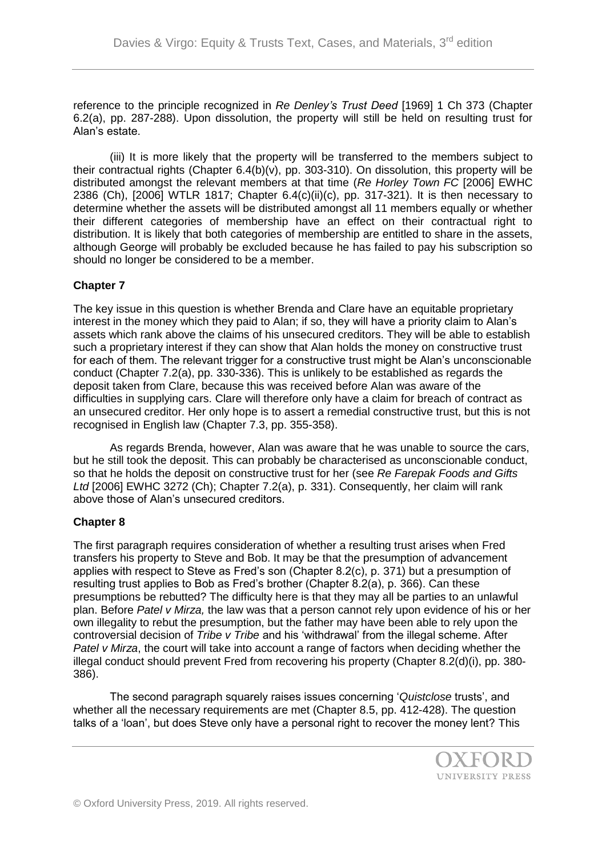reference to the principle recognized in *Re Denley's Trust Deed* [1969] 1 Ch 373 (Chapter 6.2(a), pp. 287-288). Upon dissolution, the property will still be held on resulting trust for Alan's estate.

(iii) It is more likely that the property will be transferred to the members subject to their contractual rights (Chapter 6.4(b)(v), pp. 303-310). On dissolution, this property will be distributed amongst the relevant members at that time (*Re Horley Town FC* [2006] EWHC 2386 (Ch), [2006] WTLR 1817; Chapter 6.4(c)(ii)(c), pp. 317-321). It is then necessary to determine whether the assets will be distributed amongst all 11 members equally or whether their different categories of membership have an effect on their contractual right to distribution. It is likely that both categories of membership are entitled to share in the assets, although George will probably be excluded because he has failed to pay his subscription so should no longer be considered to be a member.

## **Chapter 7**

The key issue in this question is whether Brenda and Clare have an equitable proprietary interest in the money which they paid to Alan; if so, they will have a priority claim to Alan's assets which rank above the claims of his unsecured creditors. They will be able to establish such a proprietary interest if they can show that Alan holds the money on constructive trust for each of them. The relevant trigger for a constructive trust might be Alan's unconscionable conduct (Chapter 7.2(a), pp. 330-336). This is unlikely to be established as regards the deposit taken from Clare, because this was received before Alan was aware of the difficulties in supplying cars. Clare will therefore only have a claim for breach of contract as an unsecured creditor. Her only hope is to assert a remedial constructive trust, but this is not recognised in English law (Chapter 7.3, pp. 355-358).

As regards Brenda, however, Alan was aware that he was unable to source the cars, but he still took the deposit. This can probably be characterised as unconscionable conduct, so that he holds the deposit on constructive trust for her (see *Re Farepak Foods and Gifts Ltd* [2006] EWHC 3272 (Ch); Chapter 7.2(a), p. 331). Consequently, her claim will rank above those of Alan's unsecured creditors.

#### **Chapter 8**

The first paragraph requires consideration of whether a resulting trust arises when Fred transfers his property to Steve and Bob. It may be that the presumption of advancement applies with respect to Steve as Fred's son (Chapter 8.2(c), p. 371) but a presumption of resulting trust applies to Bob as Fred's brother (Chapter 8.2(a), p. 366). Can these presumptions be rebutted? The difficulty here is that they may all be parties to an unlawful plan. Before *Patel v Mirza,* the law was that a person cannot rely upon evidence of his or her own illegality to rebut the presumption, but the father may have been able to rely upon the controversial decision of *Tribe v Tribe* and his 'withdrawal' from the illegal scheme. After *Patel v Mirza*, the court will take into account a range of factors when deciding whether the illegal conduct should prevent Fred from recovering his property (Chapter 8.2(d)(i), pp. 380- 386).

The second paragraph squarely raises issues concerning '*Quistclose* trusts', and whether all the necessary requirements are met (Chapter 8.5, pp. 412-428). The question talks of a 'loan', but does Steve only have a personal right to recover the money lent? This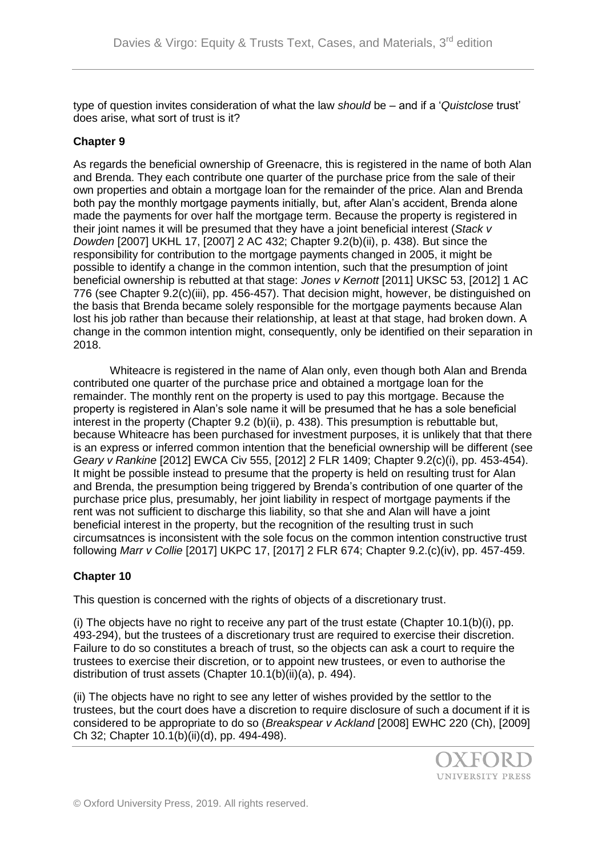type of question invites consideration of what the law *should* be – and if a '*Quistclose* trust' does arise, what sort of trust is it?

## **Chapter 9**

As regards the beneficial ownership of Greenacre, this is registered in the name of both Alan and Brenda. They each contribute one quarter of the purchase price from the sale of their own properties and obtain a mortgage loan for the remainder of the price. Alan and Brenda both pay the monthly mortgage payments initially, but, after Alan's accident, Brenda alone made the payments for over half the mortgage term. Because the property is registered in their joint names it will be presumed that they have a joint beneficial interest (*Stack v Dowden* [2007] UKHL 17, [2007] 2 AC 432; Chapter 9.2(b)(ii), p. 438). But since the responsibility for contribution to the mortgage payments changed in 2005, it might be possible to identify a change in the common intention, such that the presumption of joint beneficial ownership is rebutted at that stage: *Jones v Kernott* [2011] UKSC 53, [2012] 1 AC 776 (see Chapter 9.2(c)(iii), pp. 456-457). That decision might, however, be distinguished on the basis that Brenda became solely responsible for the mortgage payments because Alan lost his job rather than because their relationship, at least at that stage, had broken down. A change in the common intention might, consequently, only be identified on their separation in 2018.

Whiteacre is registered in the name of Alan only, even though both Alan and Brenda contributed one quarter of the purchase price and obtained a mortgage loan for the remainder. The monthly rent on the property is used to pay this mortgage. Because the property is registered in Alan's sole name it will be presumed that he has a sole beneficial interest in the property (Chapter 9.2 (b)(ii), p. 438). This presumption is rebuttable but, because Whiteacre has been purchased for investment purposes, it is unlikely that that there is an express or inferred common intention that the beneficial ownership will be different (see *Geary v Rankine* [2012] EWCA Civ 555, [2012] 2 FLR 1409; Chapter 9.2(c)(i), pp. 453-454). It might be possible instead to presume that the property is held on resulting trust for Alan and Brenda, the presumption being triggered by Brenda's contribution of one quarter of the purchase price plus, presumably, her joint liability in respect of mortgage payments if the rent was not sufficient to discharge this liability, so that she and Alan will have a joint beneficial interest in the property, but the recognition of the resulting trust in such circumsatnces is inconsistent with the sole focus on the common intention constructive trust following *Marr v Collie* [2017] UKPC 17, [2017] 2 FLR 674; Chapter 9.2.(c)(iv), pp. 457-459.

#### **Chapter 10**

This question is concerned with the rights of objects of a discretionary trust.

(i) The objects have no right to receive any part of the trust estate (Chapter 10.1(b)(i), pp. 493-294), but the trustees of a discretionary trust are required to exercise their discretion. Failure to do so constitutes a breach of trust, so the objects can ask a court to require the trustees to exercise their discretion, or to appoint new trustees, or even to authorise the distribution of trust assets (Chapter 10.1(b)(ii)(a), p. 494).

(ii) The objects have no right to see any letter of wishes provided by the settlor to the trustees, but the court does have a discretion to require disclosure of such a document if it is considered to be appropriate to do so (*Breakspear v Ackland* [2008] EWHC 220 (Ch), [2009] Ch 32; Chapter 10.1(b)(ii)(d), pp. 494-498).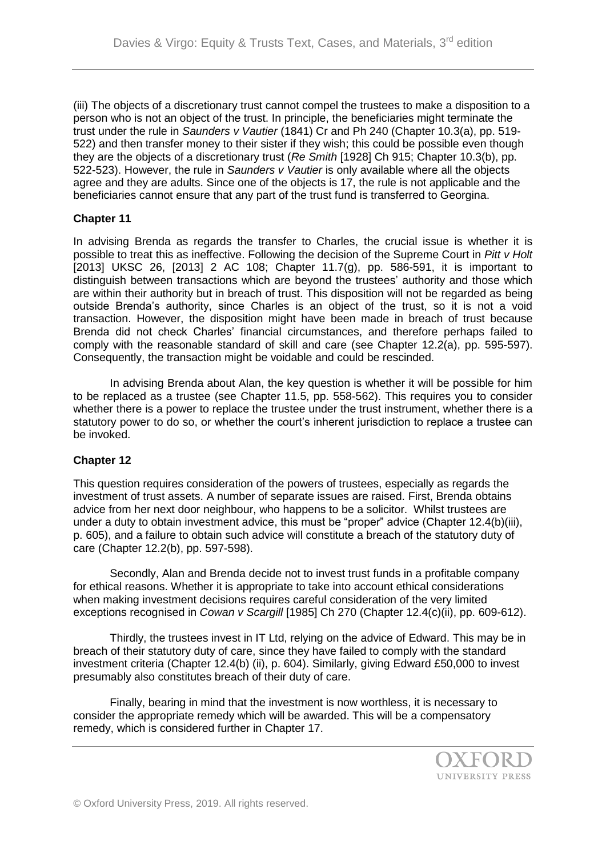(iii) The objects of a discretionary trust cannot compel the trustees to make a disposition to a person who is not an object of the trust. In principle, the beneficiaries might terminate the trust under the rule in *Saunders v Vautier* (1841) Cr and Ph 240 (Chapter 10.3(a), pp. 519- 522) and then transfer money to their sister if they wish; this could be possible even though they are the objects of a discretionary trust (*Re Smith* [1928] Ch 915; Chapter 10.3(b), pp. 522-523). However, the rule in *Saunders v Vautier* is only available where all the objects agree and they are adults. Since one of the objects is 17, the rule is not applicable and the beneficiaries cannot ensure that any part of the trust fund is transferred to Georgina.

#### **Chapter 11**

In advising Brenda as regards the transfer to Charles, the crucial issue is whether it is possible to treat this as ineffective. Following the decision of the Supreme Court in *Pitt v Holt* [2013] UKSC 26,  $[2013]$  2 AC 108; Chapter 11.7(g), pp. 586-591, it is important to distinguish between transactions which are beyond the trustees' authority and those which are within their authority but in breach of trust. This disposition will not be regarded as being outside Brenda's authority, since Charles is an object of the trust, so it is not a void transaction. However, the disposition might have been made in breach of trust because Brenda did not check Charles' financial circumstances, and therefore perhaps failed to comply with the reasonable standard of skill and care (see Chapter 12.2(a), pp. 595-597). Consequently, the transaction might be voidable and could be rescinded.

In advising Brenda about Alan, the key question is whether it will be possible for him to be replaced as a trustee (see Chapter 11.5, pp. 558-562). This requires you to consider whether there is a power to replace the trustee under the trust instrument, whether there is a statutory power to do so, or whether the court's inherent jurisdiction to replace a trustee can be invoked.

# **Chapter 12**

This question requires consideration of the powers of trustees, especially as regards the investment of trust assets. A number of separate issues are raised. First, Brenda obtains advice from her next door neighbour, who happens to be a solicitor. Whilst trustees are under a duty to obtain investment advice, this must be "proper" advice (Chapter 12.4(b)(iii), p. 605), and a failure to obtain such advice will constitute a breach of the statutory duty of care (Chapter 12.2(b), pp. 597-598).

Secondly, Alan and Brenda decide not to invest trust funds in a profitable company for ethical reasons. Whether it is appropriate to take into account ethical considerations when making investment decisions requires careful consideration of the very limited exceptions recognised in *Cowan v Scargill* [1985] Ch 270 (Chapter 12.4(c)(ii), pp. 609-612).

Thirdly, the trustees invest in IT Ltd, relying on the advice of Edward. This may be in breach of their statutory duty of care, since they have failed to comply with the standard investment criteria (Chapter 12.4(b) (ii), p. 604). Similarly, giving Edward £50,000 to invest presumably also constitutes breach of their duty of care.

Finally, bearing in mind that the investment is now worthless, it is necessary to consider the appropriate remedy which will be awarded. This will be a compensatory remedy, which is considered further in Chapter 17.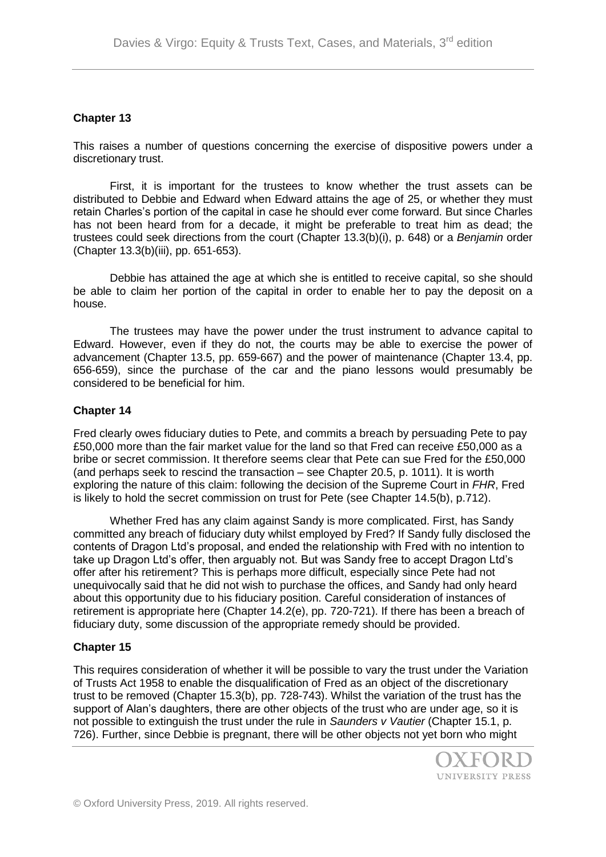#### **Chapter 13**

This raises a number of questions concerning the exercise of dispositive powers under a discretionary trust.

First, it is important for the trustees to know whether the trust assets can be distributed to Debbie and Edward when Edward attains the age of 25, or whether they must retain Charles's portion of the capital in case he should ever come forward. But since Charles has not been heard from for a decade, it might be preferable to treat him as dead; the trustees could seek directions from the court (Chapter 13.3(b)(i), p. 648) or a *Benjamin* order (Chapter 13.3(b)(iii), pp. 651-653).

Debbie has attained the age at which she is entitled to receive capital, so she should be able to claim her portion of the capital in order to enable her to pay the deposit on a house.

The trustees may have the power under the trust instrument to advance capital to Edward. However, even if they do not, the courts may be able to exercise the power of advancement (Chapter 13.5, pp. 659-667) and the power of maintenance (Chapter 13.4, pp. 656-659), since the purchase of the car and the piano lessons would presumably be considered to be beneficial for him.

#### **Chapter 14**

Fred clearly owes fiduciary duties to Pete, and commits a breach by persuading Pete to pay £50,000 more than the fair market value for the land so that Fred can receive £50,000 as a bribe or secret commission. It therefore seems clear that Pete can sue Fred for the £50,000 (and perhaps seek to rescind the transaction – see Chapter 20.5, p. 1011). It is worth exploring the nature of this claim: following the decision of the Supreme Court in *FHR*, Fred is likely to hold the secret commission on trust for Pete (see Chapter 14.5(b), p.712).

Whether Fred has any claim against Sandy is more complicated. First, has Sandy committed any breach of fiduciary duty whilst employed by Fred? If Sandy fully disclosed the contents of Dragon Ltd's proposal, and ended the relationship with Fred with no intention to take up Dragon Ltd's offer, then arguably not. But was Sandy free to accept Dragon Ltd's offer after his retirement? This is perhaps more difficult, especially since Pete had not unequivocally said that he did not wish to purchase the offices, and Sandy had only heard about this opportunity due to his fiduciary position. Careful consideration of instances of retirement is appropriate here (Chapter 14.2(e), pp. 720-721). If there has been a breach of fiduciary duty, some discussion of the appropriate remedy should be provided.

#### **Chapter 15**

This requires consideration of whether it will be possible to vary the trust under the Variation of Trusts Act 1958 to enable the disqualification of Fred as an object of the discretionary trust to be removed (Chapter 15.3(b), pp. 728-743). Whilst the variation of the trust has the support of Alan's daughters, there are other objects of the trust who are under age, so it is not possible to extinguish the trust under the rule in *Saunders v Vautier* (Chapter 15.1, p. 726). Further, since Debbie is pregnant, there will be other objects not yet born who might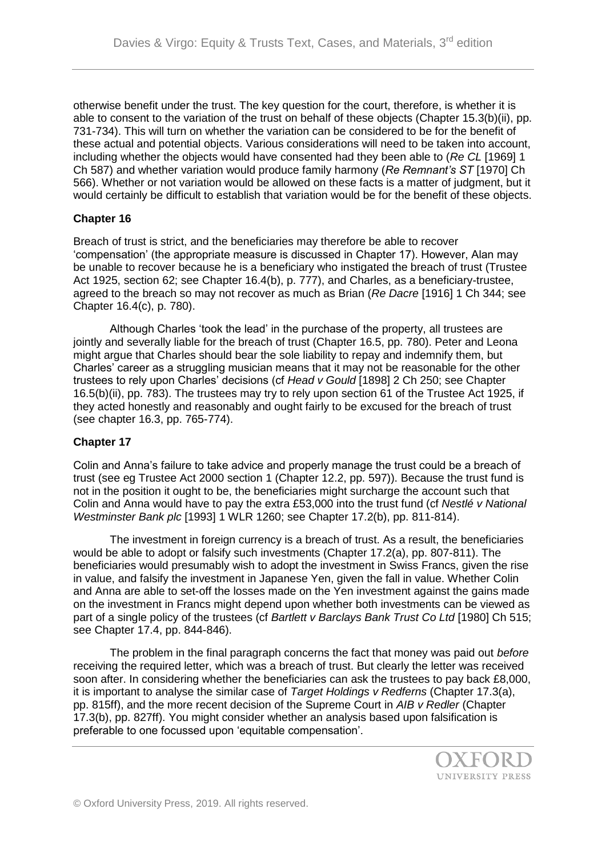otherwise benefit under the trust. The key question for the court, therefore, is whether it is able to consent to the variation of the trust on behalf of these objects (Chapter 15.3(b)(ii), pp. 731-734). This will turn on whether the variation can be considered to be for the benefit of these actual and potential objects. Various considerations will need to be taken into account, including whether the objects would have consented had they been able to (*Re CL* [1969] 1 Ch 587) and whether variation would produce family harmony (*Re Remnant's ST* [1970] Ch 566). Whether or not variation would be allowed on these facts is a matter of judgment, but it would certainly be difficult to establish that variation would be for the benefit of these objects.

# **Chapter 16**

Breach of trust is strict, and the beneficiaries may therefore be able to recover 'compensation' (the appropriate measure is discussed in Chapter 17). However, Alan may be unable to recover because he is a beneficiary who instigated the breach of trust (Trustee Act 1925, section 62; see Chapter 16.4(b), p. 777), and Charles, as a beneficiary-trustee, agreed to the breach so may not recover as much as Brian (*Re Dacre* [1916] 1 Ch 344; see Chapter 16.4(c), p. 780).

Although Charles 'took the lead' in the purchase of the property, all trustees are jointly and severally liable for the breach of trust (Chapter 16.5, pp. 780). Peter and Leona might argue that Charles should bear the sole liability to repay and indemnify them, but Charles' career as a struggling musician means that it may not be reasonable for the other trustees to rely upon Charles' decisions (cf *Head v Gould* [1898] 2 Ch 250; see Chapter 16.5(b)(ii), pp. 783). The trustees may try to rely upon section 61 of the Trustee Act 1925, if they acted honestly and reasonably and ought fairly to be excused for the breach of trust (see chapter 16.3, pp. 765-774).

#### **Chapter 17**

Colin and Anna's failure to take advice and properly manage the trust could be a breach of trust (see eg Trustee Act 2000 section 1 (Chapter 12.2, pp. 597)). Because the trust fund is not in the position it ought to be, the beneficiaries might surcharge the account such that Colin and Anna would have to pay the extra £53,000 into the trust fund (cf *Nestlé v National Westminster Bank plc* [1993] 1 WLR 1260; see Chapter 17.2(b), pp. 811-814).

The investment in foreign currency is a breach of trust. As a result, the beneficiaries would be able to adopt or falsify such investments (Chapter 17.2(a), pp. 807-811). The beneficiaries would presumably wish to adopt the investment in Swiss Francs, given the rise in value, and falsify the investment in Japanese Yen, given the fall in value. Whether Colin and Anna are able to set-off the losses made on the Yen investment against the gains made on the investment in Francs might depend upon whether both investments can be viewed as part of a single policy of the trustees (cf *Bartlett v Barclays Bank Trust Co Ltd* [1980] Ch 515; see Chapter 17.4, pp. 844-846).

The problem in the final paragraph concerns the fact that money was paid out *before*  receiving the required letter, which was a breach of trust. But clearly the letter was received soon after. In considering whether the beneficiaries can ask the trustees to pay back £8,000, it is important to analyse the similar case of *Target Holdings v Redferns* (Chapter 17.3(a), pp. 815ff), and the more recent decision of the Supreme Court in *AIB v Redler* (Chapter 17.3(b), pp. 827ff). You might consider whether an analysis based upon falsification is preferable to one focussed upon 'equitable compensation'.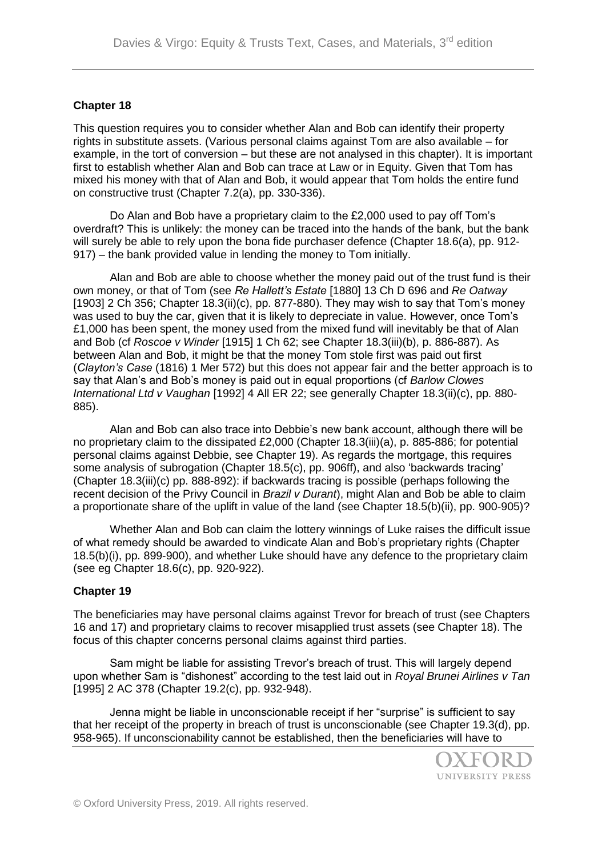## **Chapter 18**

This question requires you to consider whether Alan and Bob can identify their property rights in substitute assets. (Various personal claims against Tom are also available – for example, in the tort of conversion – but these are not analysed in this chapter). It is important first to establish whether Alan and Bob can trace at Law or in Equity. Given that Tom has mixed his money with that of Alan and Bob, it would appear that Tom holds the entire fund on constructive trust (Chapter 7.2(a), pp. 330-336).

Do Alan and Bob have a proprietary claim to the £2,000 used to pay off Tom's overdraft? This is unlikely: the money can be traced into the hands of the bank, but the bank will surely be able to rely upon the bona fide purchaser defence (Chapter 18.6(a), pp. 912- 917) – the bank provided value in lending the money to Tom initially.

Alan and Bob are able to choose whether the money paid out of the trust fund is their own money, or that of Tom (see *Re Hallett's Estate* [1880] 13 Ch D 696 and *Re Oatway*  [1903] 2 Ch 356; Chapter 18.3(ii)(c), pp. 877-880). They may wish to say that Tom's money was used to buy the car, given that it is likely to depreciate in value. However, once Tom's  $£1,000$  has been spent, the money used from the mixed fund will inevitably be that of Alan and Bob (cf *Roscoe v Winder* [1915] 1 Ch 62; see Chapter 18.3(iii)(b), p. 886-887). As between Alan and Bob, it might be that the money Tom stole first was paid out first (*Clayton's Case* (1816) 1 Mer 572) but this does not appear fair and the better approach is to say that Alan's and Bob's money is paid out in equal proportions (cf *Barlow Clowes International Ltd v Vaughan* [1992] 4 All ER 22; see generally Chapter 18.3(ii)(c), pp. 880- 885).

Alan and Bob can also trace into Debbie's new bank account, although there will be no proprietary claim to the dissipated £2,000 (Chapter 18.3(iii)(a), p. 885-886; for potential personal claims against Debbie, see Chapter 19). As regards the mortgage, this requires some analysis of subrogation (Chapter 18.5(c), pp. 906ff), and also 'backwards tracing' (Chapter 18.3(iii)(c) pp. 888-892): if backwards tracing is possible (perhaps following the recent decision of the Privy Council in *Brazil v Durant*), might Alan and Bob be able to claim a proportionate share of the uplift in value of the land (see Chapter 18.5(b)(ii), pp. 900-905)?

Whether Alan and Bob can claim the lottery winnings of Luke raises the difficult issue of what remedy should be awarded to vindicate Alan and Bob's proprietary rights (Chapter 18.5(b)(i), pp. 899-900), and whether Luke should have any defence to the proprietary claim (see eg Chapter 18.6(c), pp. 920-922).

#### **Chapter 19**

The beneficiaries may have personal claims against Trevor for breach of trust (see Chapters 16 and 17) and proprietary claims to recover misapplied trust assets (see Chapter 18). The focus of this chapter concerns personal claims against third parties.

Sam might be liable for assisting Trevor's breach of trust. This will largely depend upon whether Sam is "dishonest" according to the test laid out in *Royal Brunei Airlines v Tan* [1995] 2 AC 378 (Chapter 19.2(c), pp. 932-948).

Jenna might be liable in unconscionable receipt if her "surprise" is sufficient to say that her receipt of the property in breach of trust is unconscionable (see Chapter 19.3(d), pp. 958-965). If unconscionability cannot be established, then the beneficiaries will have to